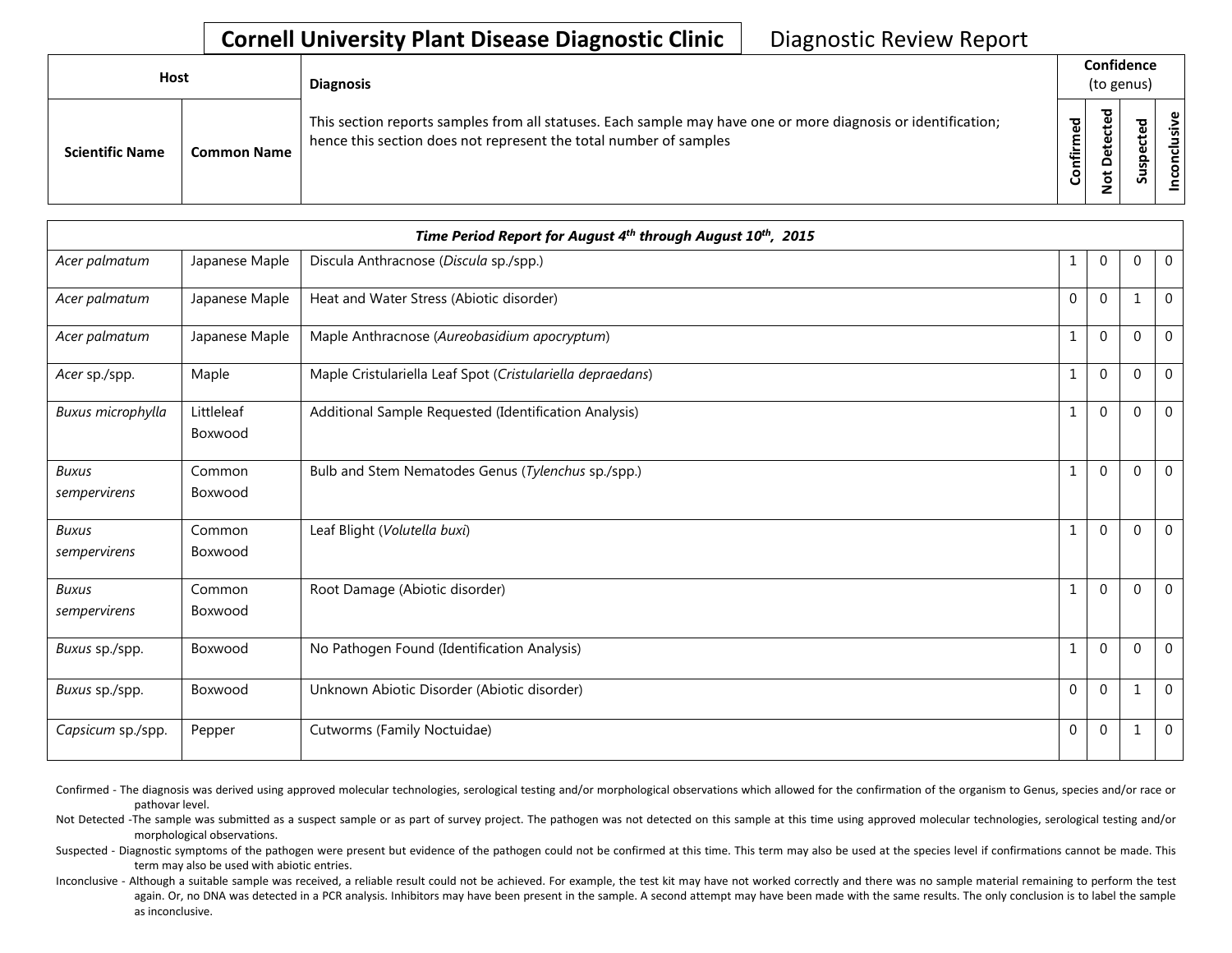| <b>Host</b> |                        |                    | <b>Diagnosis</b>                                                                                                                                                                   |                       | Confidence<br>(to genus) |                  |  |
|-------------|------------------------|--------------------|------------------------------------------------------------------------------------------------------------------------------------------------------------------------------------|-----------------------|--------------------------|------------------|--|
|             | <b>Scientific Name</b> | <b>Common Name</b> | This section reports samples from all statuses. Each sample may have one or more diagnosis or identification;<br>hence this section does not represent the total number of samples | ਠ<br>ه<br>튙<br>۰<br>ပ | ᇃ<br>Ψ<br>≏<br>ىپ<br>Ö   | ω<br>요<br>s<br>n |  |

| Time Period Report for August 4th through August 10th, 2015 |                       |                                                            |                |              |             |                |  |  |  |
|-------------------------------------------------------------|-----------------------|------------------------------------------------------------|----------------|--------------|-------------|----------------|--|--|--|
| Acer palmatum                                               | Japanese Maple        | Discula Anthracnose (Discula sp./spp.)                     | 1              | $\mathbf{0}$ | 0           | $\overline{0}$ |  |  |  |
| Acer palmatum                                               | Japanese Maple        | Heat and Water Stress (Abiotic disorder)                   | $\Omega$       | $\Omega$     |             | $\mathbf 0$    |  |  |  |
| Acer palmatum                                               | Japanese Maple        | Maple Anthracnose (Aureobasidium apocryptum)               |                | $\Omega$     | $\mathbf 0$ | $\mathbf 0$    |  |  |  |
| Acer sp./spp.                                               | Maple                 | Maple Cristulariella Leaf Spot (Cristulariella depraedans) | 1              | $\Omega$     | $\mathbf 0$ | $\mathbf 0$    |  |  |  |
| Buxus microphylla                                           | Littleleaf<br>Boxwood | Additional Sample Requested (Identification Analysis)      | $\mathbf{1}$   | $\Omega$     | $\Omega$    | $\mathbf{0}$   |  |  |  |
| <b>Buxus</b><br>sempervirens                                | Common<br>Boxwood     | Bulb and Stem Nematodes Genus (Tylenchus sp./spp.)         |                | $\Omega$     | $\mathbf 0$ | $\mathbf{0}$   |  |  |  |
| <b>Buxus</b><br>sempervirens                                | Common<br>Boxwood     | Leaf Blight (Volutella buxi)                               |                | $\Omega$     | $\mathbf 0$ | $\overline{0}$ |  |  |  |
| <b>Buxus</b><br>sempervirens                                | Common<br>Boxwood     | Root Damage (Abiotic disorder)                             |                | $\Omega$     | $\Omega$    | $\overline{0}$ |  |  |  |
| Buxus sp./spp.                                              | Boxwood               | No Pathogen Found (Identification Analysis)                | $\mathbf{1}$   | $\Omega$     | $\mathbf 0$ | $\mathbf 0$    |  |  |  |
| Buxus sp./spp.                                              | Boxwood               | Unknown Abiotic Disorder (Abiotic disorder)                | $\Omega$       | $\Omega$     |             | $\mathbf 0$    |  |  |  |
| Capsicum sp./spp.                                           | Pepper                | Cutworms (Family Noctuidae)                                | $\overline{0}$ | $\Omega$     |             | $\mathbf 0$    |  |  |  |

Confirmed - The diagnosis was derived using approved molecular technologies, serological testing and/or morphological observations which allowed for the confirmation of the organism to Genus, species and/or race or pathovar level.

Not Detected -The sample was submitted as a suspect sample or as part of survey project. The pathogen was not detected on this sample at this time using approved molecular technologies, serological testing and/or morphological observations.

Suspected - Diagnostic symptoms of the pathogen were present but evidence of the pathogen could not be confirmed at this time. This term may also be used at the species level if confirmations cannot be made. This term may also be used with abiotic entries.

Inconclusive - Although a suitable sample was received, a reliable result could not be achieved. For example, the test kit may have not worked correctly and there was no sample material remaining to perform the test again. Or, no DNA was detected in a PCR analysis. Inhibitors may have been present in the sample. A second attempt may have been made with the same results. The only conclusion is to label the sample as inconclusive.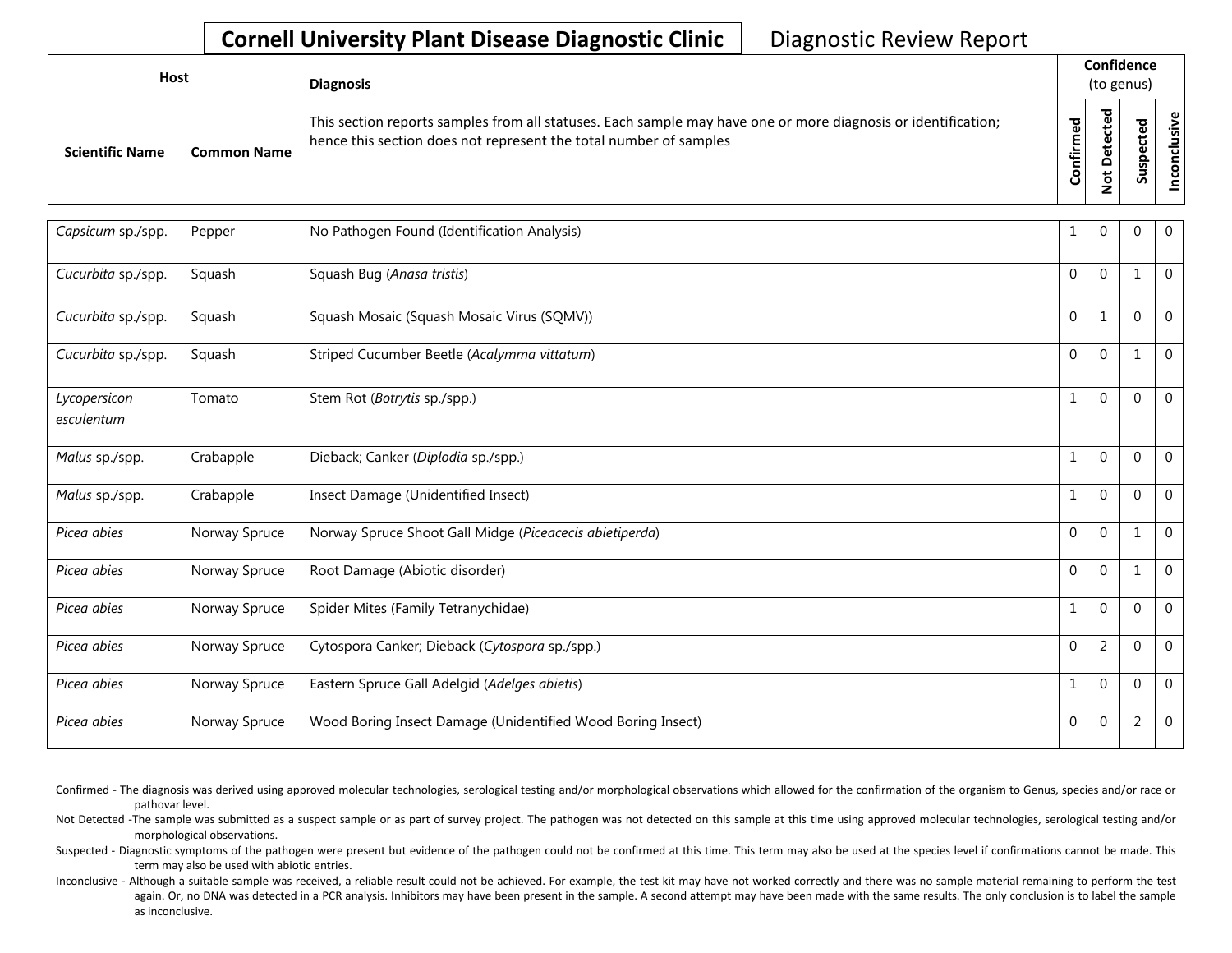| <b>Host</b>            |             | <b>Diagnosis</b>                                                                                                                                                                   |                    | Confidence<br>(to genus)                    |                            |        |
|------------------------|-------------|------------------------------------------------------------------------------------------------------------------------------------------------------------------------------------|--------------------|---------------------------------------------|----------------------------|--------|
| <b>Scientific Name</b> | Common Name | This section reports samples from all statuses. Each sample may have one or more diagnosis or identification;<br>hence this section does not represent the total number of samples | ᅙ<br>ω<br>Confirme | cted<br>ete<br>≏<br>$\overline{\mathbf{c}}$ | ਠ<br>உ<br>ں<br>Q<br>S<br>ౘ | clusiv |

| Capsicum sp./spp.          | Pepper        | No Pathogen Found (Identification Analysis)                 | 1            | $\mathbf 0$    | 0              | $\mathbf{0}$   |
|----------------------------|---------------|-------------------------------------------------------------|--------------|----------------|----------------|----------------|
| Cucurbita sp./spp.         | Squash        | Squash Bug (Anasa tristis)                                  | $\Omega$     | $\Omega$       | 1              | $\overline{0}$ |
| Cucurbita sp./spp.         | Squash        | Squash Mosaic (Squash Mosaic Virus (SQMV))                  | $\Omega$     | $\mathbf{1}$   | $\Omega$       | $\overline{0}$ |
| Cucurbita sp./spp.         | Squash        | Striped Cucumber Beetle (Acalymma vittatum)                 | $\Omega$     | $\Omega$       | $\mathbf{1}$   | $\Omega$       |
| Lycopersicon<br>esculentum | Tomato        | Stem Rot (Botrytis sp./spp.)                                | $\mathbf{1}$ | $\mathbf 0$    | 0              | $\mathbf{0}$   |
| Malus sp./spp.             | Crabapple     | Dieback; Canker (Diplodia sp./spp.)                         | $\mathbf{1}$ | $\Omega$       | $\mathbf{0}$   | $\mathbf 0$    |
| Malus sp./spp.             | Crabapple     | Insect Damage (Unidentified Insect)                         | $\mathbf{1}$ | $\Omega$       | $\Omega$       | $\Omega$       |
| Picea abies                | Norway Spruce | Norway Spruce Shoot Gall Midge (Piceacecis abietiperda)     | $\Omega$     | $\mathbf 0$    | $\mathbf{1}$   | $\mathbf{0}$   |
| Picea abies                | Norway Spruce | Root Damage (Abiotic disorder)                              | $\mathbf 0$  | $\mathbf 0$    | 1              | $\mathbf 0$    |
| Picea abies                | Norway Spruce | Spider Mites (Family Tetranychidae)                         | $\mathbf{1}$ | $\overline{0}$ | $\Omega$       | $\Omega$       |
| Picea abies                | Norway Spruce | Cytospora Canker; Dieback (Cytospora sp./spp.)              | $\Omega$     | $\overline{2}$ | 0              | $\Omega$       |
| Picea abies                | Norway Spruce | Eastern Spruce Gall Adelgid (Adelges abietis)               | $\mathbf{1}$ | $\Omega$       | 0              | $\mathbf 0$    |
| Picea abies                | Norway Spruce | Wood Boring Insect Damage (Unidentified Wood Boring Insect) | $\mathbf 0$  | $\overline{0}$ | $\overline{2}$ | $\mathbf 0$    |

Confirmed - The diagnosis was derived using approved molecular technologies, serological testing and/or morphological observations which allowed for the confirmation of the organism to Genus, species and/or race or pathovar level.

Not Detected -The sample was submitted as a suspect sample or as part of survey project. The pathogen was not detected on this sample at this time using approved molecular technologies, serological testing and/or morphological observations.

Suspected - Diagnostic symptoms of the pathogen were present but evidence of the pathogen could not be confirmed at this time. This term may also be used at the species level if confirmations cannot be made. This term may also be used with abiotic entries.

Inconclusive - Although a suitable sample was received, a reliable result could not be achieved. For example, the test kit may have not worked correctly and there was no sample material remaining to perform the test again. Or, no DNA was detected in a PCR analysis. Inhibitors may have been present in the sample. A second attempt may have been made with the same results. The only conclusion is to label the sample as inconclusive.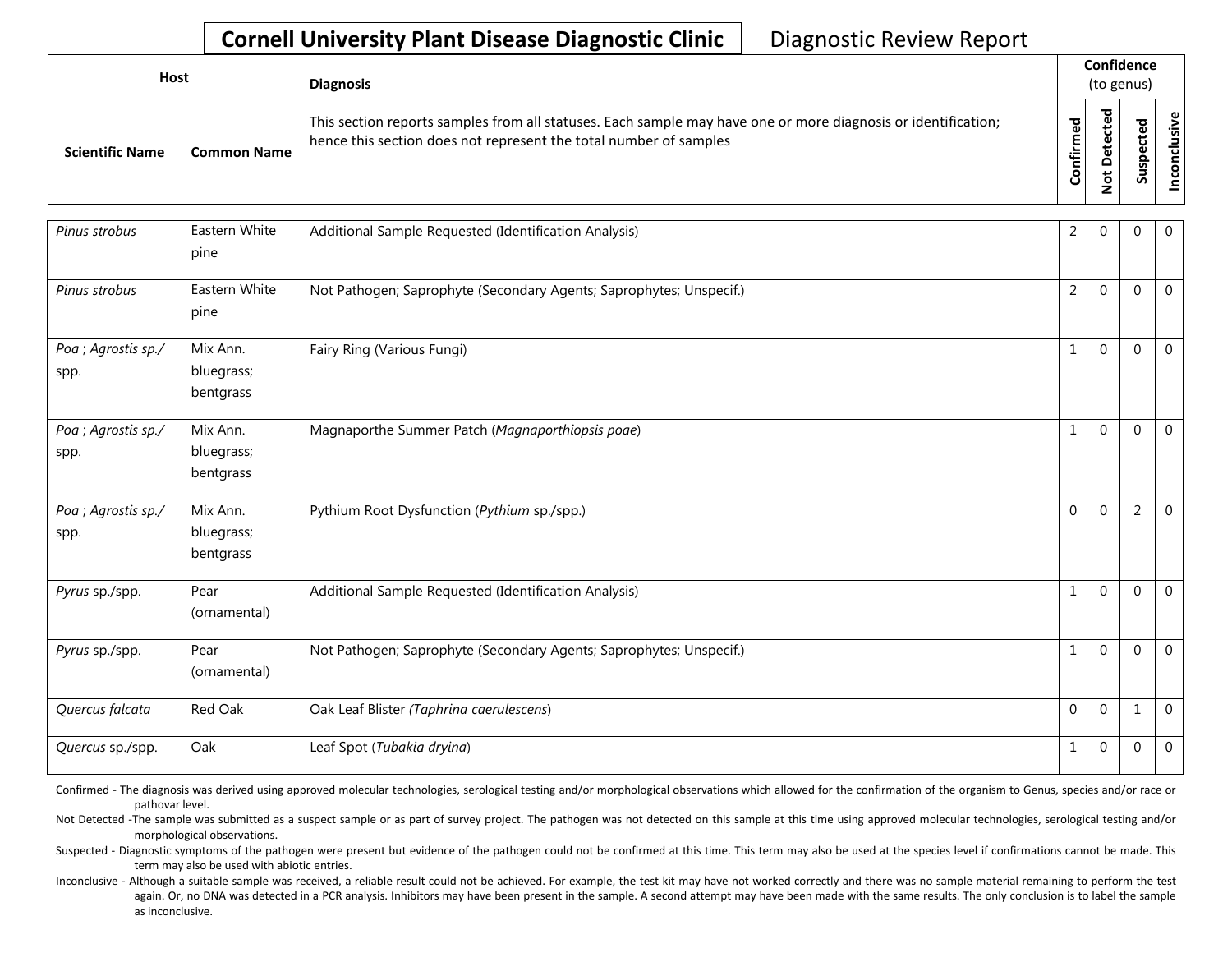| Host                   |                    | <b>Diagnosis</b>                                                                                                                                                                   |                          |                                                        | Confidence<br>(to genus) |                          |
|------------------------|--------------------|------------------------------------------------------------------------------------------------------------------------------------------------------------------------------------|--------------------------|--------------------------------------------------------|--------------------------|--------------------------|
| <b>Scientific Name</b> | <b>Common Name</b> | This section reports samples from all statuses. Each sample may have one or more diagnosis or identification;<br>hence this section does not represent the total number of samples | ЪЪ<br>Ě<br>≞.<br>눌<br>පි | ᅙ<br>உ<br>ں<br>Φ<br>پ<br>Φ<br>۵<br>$\overline{5}$<br>– | ᅙ<br>Φ<br>ပ<br>ഄഁ        | ഄ<br>nclusiv<br><u>င</u> |

| Pinus strobus               | Eastern White<br>pine               | Additional Sample Requested (Identification Analysis)               | $\overline{2}$ | $\Omega$ | $\Omega$       | $\mathbf 0$  |
|-----------------------------|-------------------------------------|---------------------------------------------------------------------|----------------|----------|----------------|--------------|
| Pinus strobus               | Eastern White<br>pine               | Not Pathogen; Saprophyte (Secondary Agents; Saprophytes; Unspecif.) | $\overline{2}$ | $\Omega$ | $\Omega$       | $\mathbf{0}$ |
| Poa ; Agrostis sp./<br>spp. | Mix Ann.<br>bluegrass;<br>bentgrass | Fairy Ring (Various Fungi)                                          | $\mathbf{1}$   | $\Omega$ | $\Omega$       | $\mathbf 0$  |
| Poa ; Agrostis sp./<br>spp. | Mix Ann.<br>bluegrass;<br>bentgrass | Magnaporthe Summer Patch (Magnaporthiopsis poae)                    | 1              | $\Omega$ | $\mathbf 0$    | $\mathbf 0$  |
| Poa ; Agrostis sp./<br>spp. | Mix Ann.<br>bluegrass;<br>bentgrass | Pythium Root Dysfunction (Pythium sp./spp.)                         | $\Omega$       | $\Omega$ | $\overline{2}$ | $\mathbf 0$  |
| Pyrus sp./spp.              | Pear<br>(ornamental)                | Additional Sample Requested (Identification Analysis)               | 1              | $\Omega$ | $\Omega$       | $\Omega$     |
| Pyrus sp./spp.              | Pear<br>(ornamental)                | Not Pathogen; Saprophyte (Secondary Agents; Saprophytes; Unspecif.) | 1              | $\Omega$ | 0              | $\mathbf 0$  |
| Quercus falcata             | Red Oak                             | Oak Leaf Blister (Taphrina caerulescens)                            | $\Omega$       | $\Omega$ | 1              | $\mathbf 0$  |
| Quercus sp./spp.            | Oak                                 | Leaf Spot (Tubakia dryina)                                          | $\mathbf{1}$   | $\Omega$ | $\Omega$       | $\mathbf 0$  |

Confirmed - The diagnosis was derived using approved molecular technologies, serological testing and/or morphological observations which allowed for the confirmation of the organism to Genus, species and/or race or pathovar level.

Not Detected -The sample was submitted as a suspect sample or as part of survey project. The pathogen was not detected on this sample at this time using approved molecular technologies, serological testing and/or morphological observations.

Suspected - Diagnostic symptoms of the pathogen were present but evidence of the pathogen could not be confirmed at this time. This term may also be used at the species level if confirmations cannot be made. This term may also be used with abiotic entries.

Inconclusive - Although a suitable sample was received, a reliable result could not be achieved. For example, the test kit may have not worked correctly and there was no sample material remaining to perform the test again. Or, no DNA was detected in a PCR analysis. Inhibitors may have been present in the sample. A second attempt may have been made with the same results. The only conclusion is to label the sample as inconclusive.